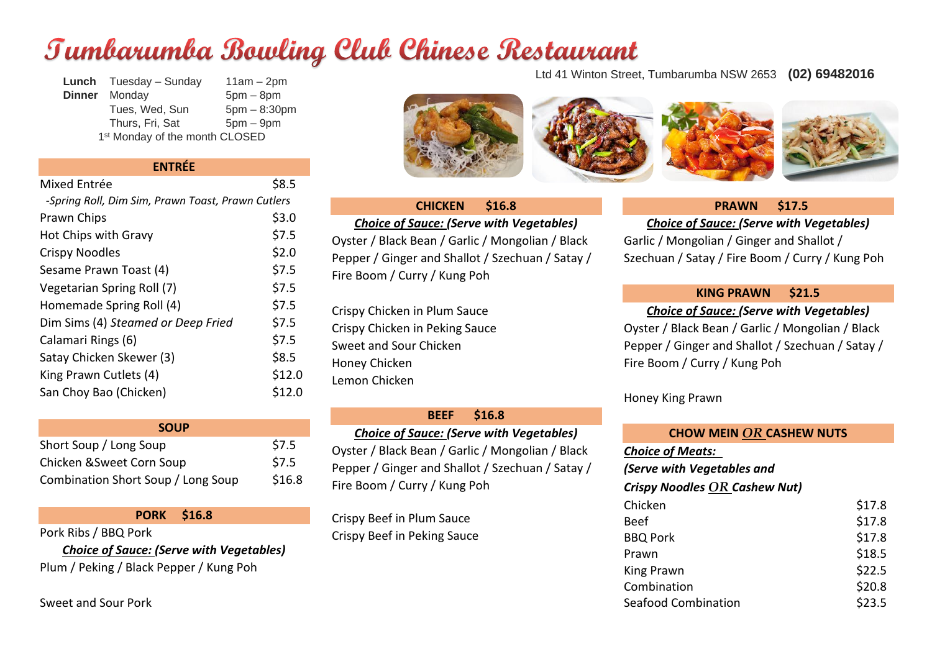# Tumbarumba Bowling Club Chinese Restaurant

**Lunch** Tuesday – Sunday 11am – 2pm **Dinner** Monday 5pm – 8pm Tues, Wed, Sun  $5$ pm  $- 8:30$ pm Thurs, Fri, Sat 5pm – 9pm 1<sup>st</sup> Monday of the month CLOSED

#### **ENTRÉE**

| Mixed Entrée                                      | \$8.5  |
|---------------------------------------------------|--------|
| -Spring Roll, Dim Sim, Prawn Toast, Prawn Cutlers |        |
| Prawn Chips                                       | \$3.0  |
| Hot Chips with Gravy                              | \$7.5  |
| <b>Crispy Noodles</b>                             | \$2.0  |
| Sesame Prawn Toast (4)                            | \$7.5  |
| Vegetarian Spring Roll (7)                        | \$7.5  |
| Homemade Spring Roll (4)                          | \$7.5  |
| Dim Sims (4) Steamed or Deep Fried                | \$7.5  |
| Calamari Rings (6)                                | \$7.5  |
| Satay Chicken Skewer (3)                          | \$8.5  |
| King Prawn Cutlets (4)                            | \$12.0 |
| San Choy Bao (Chicken)                            | \$12.0 |
|                                                   |        |

#### **SOUP** Short Soup / Long Soup **\$7.5**

| Chicken & Sweet Corn Soup          | \$7.5  |
|------------------------------------|--------|
| Combination Short Soup / Long Soup | \$16.8 |

**PORK \$16.8**

Pork Ribs / BBQ Pork

*Choice of Sauce: (Serve with Vegetables)* Plum / Peking / Black Pepper / Kung Poh

Sweet and Sour Pork

Ltd 41 Winton Street, Tumbarumba NSW 2653 **(02) 69482016**



#### **CHICKEN \$16.8**

*Choice of Sauce: (Serve with Vegetables)* Oyster / Black Bean / Garlic / Mongolian / Black Pepper / Ginger and Shallot / Szechuan / Satay /

Fire Boom / Curry / Kung Poh

Crispy Chicken in Plum Sauce Crispy Chicken in Peking Sauce Sweet and Sour Chicken Honey Chicken Lemon Chicken

#### **BEEF \$16.8**

#### *Choice of Sauce: (Serve with Vegetables)*

Oyster / Black Bean / Garlic / Mongolian / Black Pepper / Ginger and Shallot / Szechuan / Satay / Fire Boom / Curry / Kung Poh

Crispy Beef in Plum Sauce Crispy Beef in Peking Sauce

#### **PRAWN \$17.5**

#### *Choice of Sauce: (Serve with Vegetables)*

Garlic / Mongolian / Ginger and Shallot / Szechuan / Satay / Fire Boom / Curry / Kung Poh

#### **KING PRAWN \$21.5**

# *Choice of Sauce: (Serve with Vegetables)*

Oyster / Black Bean / Garlic / Mongolian / Black Pepper / Ginger and Shallot / Szechuan / Satay / Fire Boom / Curry / Kung Poh

Honey King Prawn

#### **CHOW MEIN** *OR* **CASHEW NUTS**

*Choice of Meats:* 

*(Serve with Vegetables and*

#### *Crispy Noodles OR Cashew Nut)*

| Chicken                    | \$17.8 |
|----------------------------|--------|
| <b>Beef</b>                | \$17.8 |
| <b>BBQ Pork</b>            | \$17.8 |
| Prawn                      | \$18.5 |
| King Prawn                 | \$22.5 |
| Combination                | \$20.8 |
| <b>Seafood Combination</b> | \$23.5 |